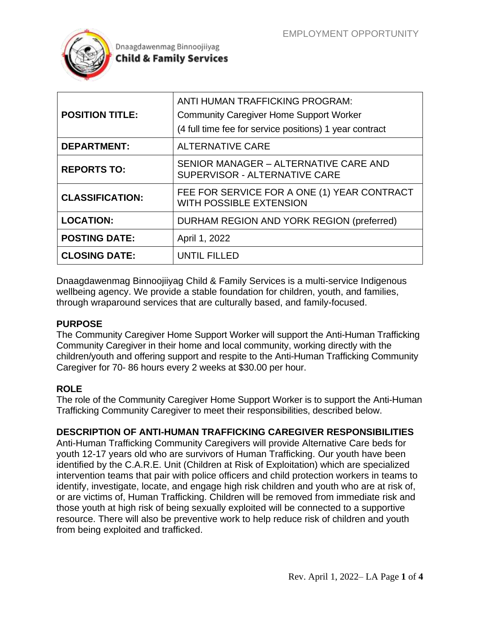

| <b>POSITION TITLE:</b> | ANTI HUMAN TRAFFICKING PROGRAM:<br><b>Community Caregiver Home Support Worker</b><br>(4 full time fee for service positions) 1 year contract |
|------------------------|----------------------------------------------------------------------------------------------------------------------------------------------|
| <b>DEPARTMENT:</b>     | <b>ALTERNATIVE CARE</b>                                                                                                                      |
| <b>REPORTS TO:</b>     | SENIOR MANAGER - ALTERNATIVE CARE AND<br>SUPERVISOR - ALTERNATIVE CARE                                                                       |
| <b>CLASSIFICATION:</b> | FEE FOR SERVICE FOR A ONE (1) YEAR CONTRACT<br><b>WITH POSSIBLE EXTENSION</b>                                                                |
| <b>LOCATION:</b>       | DURHAM REGION AND YORK REGION (preferred)                                                                                                    |
| <b>POSTING DATE:</b>   | April 1, 2022                                                                                                                                |
| <b>CLOSING DATE:</b>   | UNTIL FILLED                                                                                                                                 |

Dnaagdawenmag Binnoojiiyag Child & Family Services is a multi-service Indigenous wellbeing agency. We provide a stable foundation for children, youth, and families, through wraparound services that are culturally based, and family-focused.

#### **PURPOSE**

The Community Caregiver Home Support Worker will support the Anti-Human Trafficking Community Caregiver in their home and local community, working directly with the children/youth and offering support and respite to the Anti-Human Trafficking Community Caregiver for 70- 86 hours every 2 weeks at \$30.00 per hour.

### **ROLE**

The role of the Community Caregiver Home Support Worker is to support the Anti-Human Trafficking Community Caregiver to meet their responsibilities, described below.

### **DESCRIPTION OF ANTI-HUMAN TRAFFICKING CAREGIVER RESPONSIBILITIES**

Anti-Human Trafficking Community Caregivers will provide Alternative Care beds for youth 12-17 years old who are survivors of Human Trafficking. Our youth have been identified by the C.A.R.E. Unit (Children at Risk of Exploitation) which are specialized intervention teams that pair with police officers and child protection workers in teams to identify, investigate, locate, and engage high risk children and youth who are at risk of, or are victims of, Human Trafficking. Children will be removed from immediate risk and those youth at high risk of being sexually exploited will be connected to a supportive resource. There will also be preventive work to help reduce risk of children and youth from being exploited and trafficked.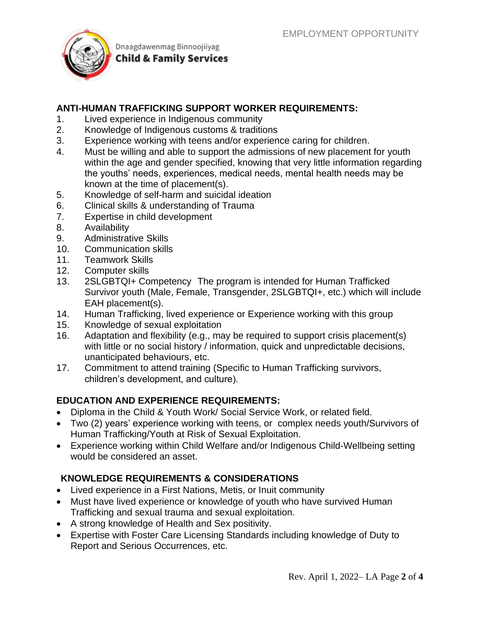

## **ANTI-HUMAN TRAFFICKING SUPPORT WORKER REQUIREMENTS:**

- 1. Lived experience in Indigenous community
- 2. Knowledge of Indigenous customs & traditions
- 3. Experience working with teens and/or experience caring for children.
- 4. Must be willing and able to support the admissions of new placement for youth within the age and gender specified, knowing that very little information regarding the youths' needs, experiences, medical needs, mental health needs may be known at the time of placement(s).
- 5. Knowledge of self-harm and suicidal ideation
- 6. Clinical skills & understanding of Trauma
- 7. Expertise in child development
- 8. Availability
- 9. Administrative Skills
- 10. Communication skills
- 11. Teamwork Skills
- 12. Computer skills
- 13. 2SLGBTQI+ Competency The program is intended for Human Trafficked Survivor youth (Male, Female, Transgender, 2SLGBTQI+, etc.) which will include EAH placement(s).
- 14. Human Trafficking, lived experience or Experience working with this group
- 15. Knowledge of sexual exploitation
- 16. Adaptation and flexibility (e.g., may be required to support crisis placement(s) with little or no social history / information, quick and unpredictable decisions, unanticipated behaviours, etc.
- 17. Commitment to attend training (Specific to Human Trafficking survivors, children's development, and culture).

### **EDUCATION AND EXPERIENCE REQUIREMENTS:**

- Diploma in the Child & Youth Work/ Social Service Work, or related field.
- Two (2) years' experience working with teens, or complex needs youth/Survivors of Human Trafficking/Youth at Risk of Sexual Exploitation.
- Experience working within Child Welfare and/or Indigenous Child-Wellbeing setting would be considered an asset.

## **KNOWLEDGE REQUIREMENTS & CONSIDERATIONS**

- Lived experience in a First Nations, Metis, or Inuit community
- Must have lived experience or knowledge of youth who have survived Human Trafficking and sexual trauma and sexual exploitation.
- A strong knowledge of Health and Sex positivity.
- Expertise with Foster Care Licensing Standards including knowledge of Duty to Report and Serious Occurrences, etc.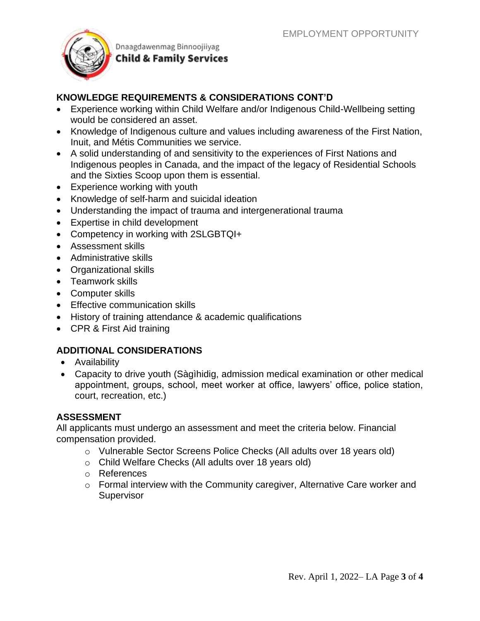

# **KNOWLEDGE REQUIREMENTS & CONSIDERATIONS CONT'D**

- Experience working within Child Welfare and/or Indigenous Child-Wellbeing setting would be considered an asset.
- Knowledge of Indigenous culture and values including awareness of the First Nation, Inuit, and Métis Communities we service.
- A solid understanding of and sensitivity to the experiences of First Nations and Indigenous peoples in Canada, and the impact of the legacy of Residential Schools and the Sixties Scoop upon them is essential.
- Experience working with youth
- Knowledge of self-harm and suicidal ideation
- Understanding the impact of trauma and intergenerational trauma
- Expertise in child development
- Competency in working with 2SLGBTQI+
- Assessment skills
- Administrative skills
- Organizational skills
- Teamwork skills
- Computer skills
- Effective communication skills
- History of training attendance & academic qualifications
- CPR & First Aid training

### **ADDITIONAL CONSIDERATIONS**

- Availability
- Capacity to drive youth (Sàgìhidig, admission medical examination or other medical appointment, groups, school, meet worker at office, lawyers' office, police station, court, recreation, etc.)

### **ASSESSMENT**

All applicants must undergo an assessment and meet the criteria below. Financial compensation provided.

- o Vulnerable Sector Screens Police Checks (All adults over 18 years old)
- o Child Welfare Checks (All adults over 18 years old)
- o References
- o Formal interview with the Community caregiver, Alternative Care worker and **Supervisor**